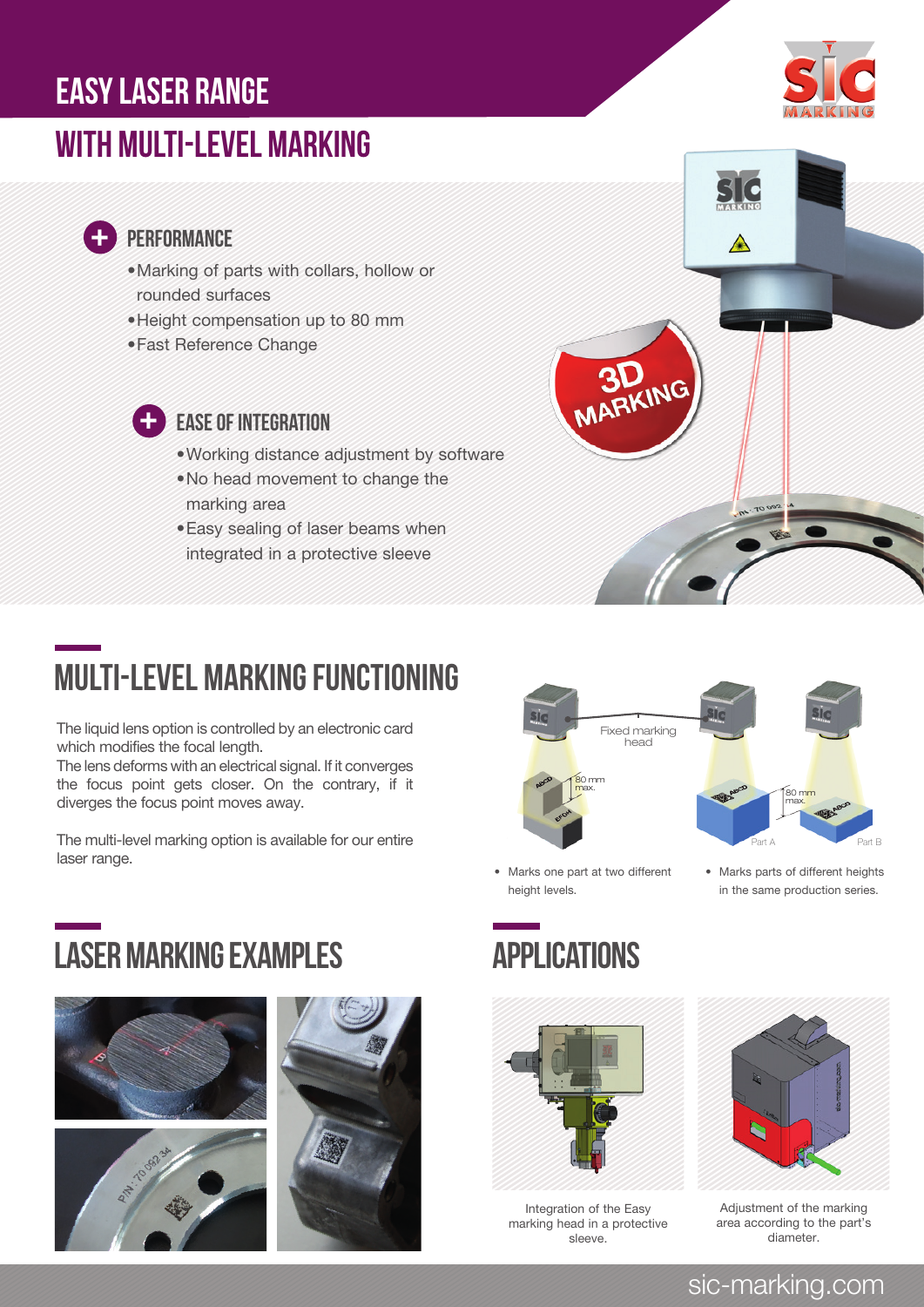### easy laser range

### with multi-level marking



### **PERFORMANCE**

 $\frac{1}{\sqrt{2}}$ 

- •Marking of parts with collars, hollow or rounded surfaces
- •Height compensation up to 80 mm
- •Fast Reference Change



### EASE OF INTEGRATION

- •Working distance adjustment by software
- •No head movement to change the marking area
- •Easy sealing of laser beams when integrated in a protective sleeve



# multi-level marking functioning

The liquid lens option is controlled by an electronic card which modifies the focal length.

The lens deforms with an electrical signal. If it converges the focus point gets closer. On the contrary, if it diverges the focus point moves away.

The multi-level marking option is available for our entire laser range.<br>
• Marks one part at two different • Marks parts of different heights

## LASER MARKING EXAMPLES APPLICATIONS









• Marks one part at two different height levels.



Integration of the Easy marking head in a protective sleeve.



in the same production series.

Adjustment of the marking area according to the part's diameter.

### sic-marking.com